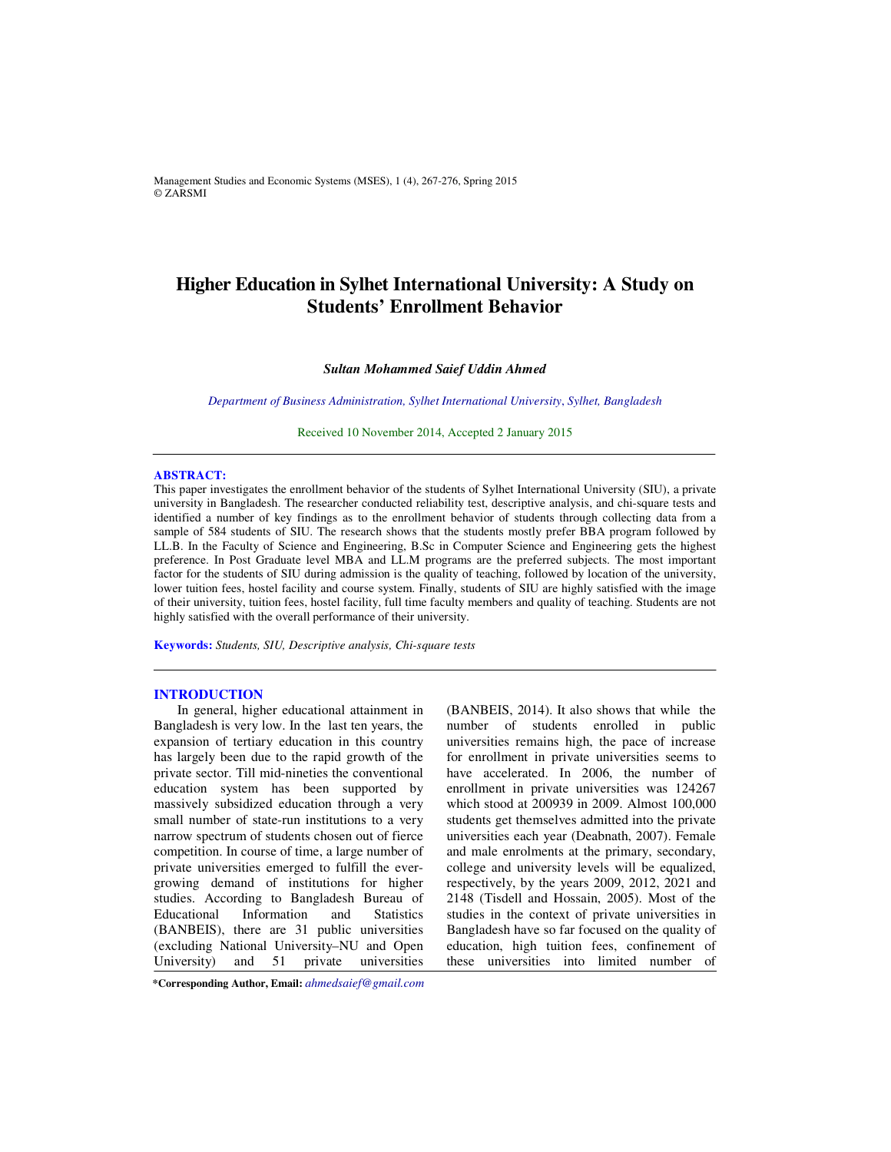Management Studies and Economic Systems (MSES), 1 (4), 267-276, Spring 2015 © ZARSMI

# **Higher Education in Sylhet International University: A Study on Students' Enrollment Behavior**

## *Sultan Mohammed Saief Uddin Ahmed*

*Department of Business Administration, Sylhet International University*, *Sylhet, Bangladesh* 

Received 10 November 2014, Accepted 2 January 2015 

#### **ABSTRACT:**

This paper investigates the enrollment behavior of the students of Sylhet International University (SIU), a private university in Bangladesh. The researcher conducted reliability test, descriptive analysis, and chi-square tests and identified a number of key findings as to the enrollment behavior of students through collecting data from a sample of 584 students of SIU. The research shows that the students mostly prefer BBA program followed by LL.B. In the Faculty of Science and Engineering, B.Sc in Computer Science and Engineering gets the highest preference. In Post Graduate level MBA and LL.M programs are the preferred subjects. The most important factor for the students of SIU during admission is the quality of teaching, followed by location of the university, lower tuition fees, hostel facility and course system. Finally, students of SIU are highly satisfied with the image of their university, tuition fees, hostel facility, full time faculty members and quality of teaching. Students are not highly satisfied with the overall performance of their university.

**Keywords:** *Students, SIU, Descriptive analysis, Chi-square tests*

#### **INTRODUCTION**

In general, higher educational attainment in Bangladesh is very low. In the last ten years, the expansion of tertiary education in this country has largely been due to the rapid growth of the private sector. Till mid-nineties the conventional education system has been supported by massively subsidized education through a very small number of state-run institutions to a very narrow spectrum of students chosen out of fierce competition. In course of time, a large number of private universities emerged to fulfill the evergrowing demand of institutions for higher studies. According to Bangladesh Bureau of Educational Information and Statistics (BANBEIS), there are 31 public universities (excluding National University–NU and Open<br>University) and 51 private universities University) and  $51$ 

**\*Corresponding Author, Email:** *ahmedsaief@gmail.com*

(BANBEIS, 2014). It also shows that while the number of students enrolled in public universities remains high, the pace of increase for enrollment in private universities seems to have accelerated. In 2006, the number of enrollment in private universities was 124267 which stood at 200939 in 2009. Almost 100,000 students get themselves admitted into the private universities each year (Deabnath, 2007). Female and male enrolments at the primary, secondary, college and university levels will be equalized, respectively, by the years 2009, 2012, 2021 and 2148 (Tisdell and Hossain, 2005). Most of the studies in the context of private universities in Bangladesh have so far focused on the quality of education, high tuition fees, confinement of these universities into limited number of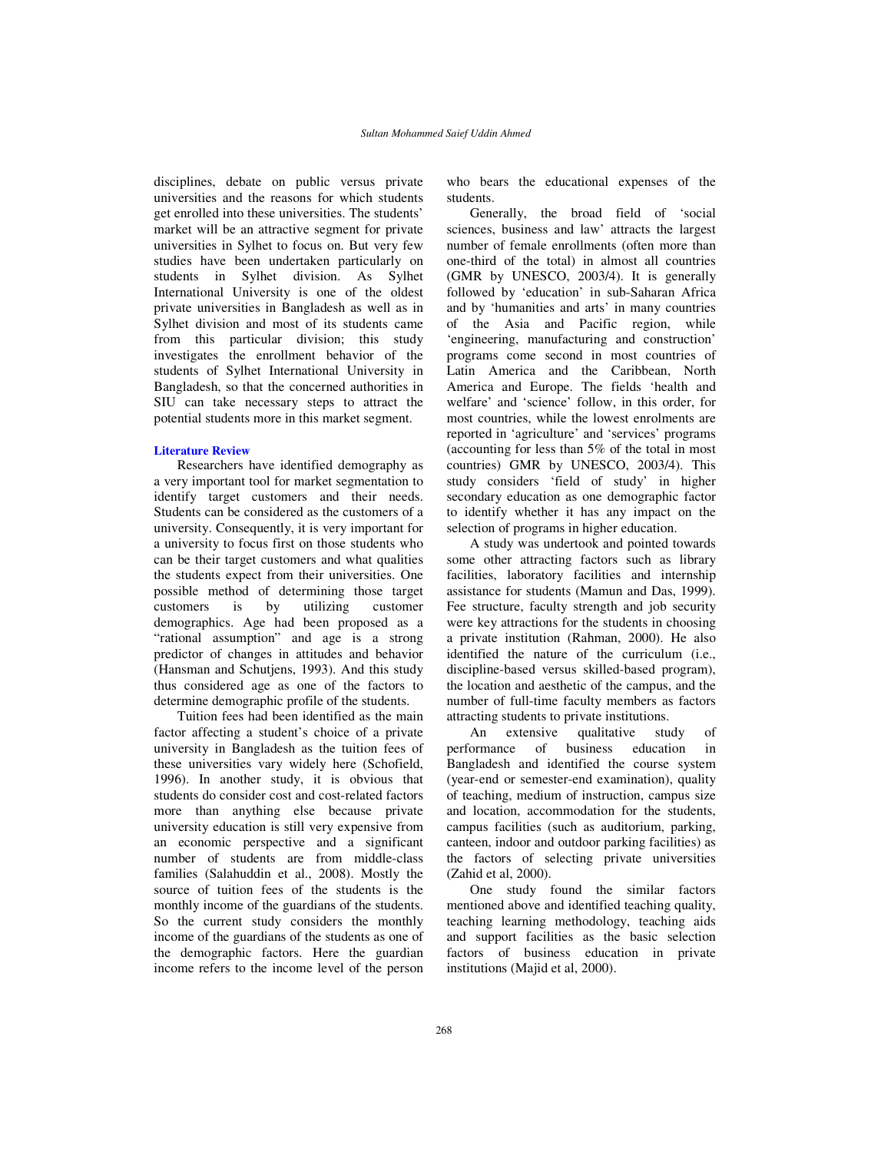disciplines, debate on public versus private universities and the reasons for which students get enrolled into these universities. The students' market will be an attractive segment for private universities in Sylhet to focus on. But very few studies have been undertaken particularly on students in Sylhet division. As Sylhet International University is one of the oldest private universities in Bangladesh as well as in Sylhet division and most of its students came from this particular division; this study investigates the enrollment behavior of the students of Sylhet International University in Bangladesh, so that the concerned authorities in SIU can take necessary steps to attract the potential students more in this market segment.

## **Literature Review**

Researchers have identified demography as a very important tool for market segmentation to identify target customers and their needs. Students can be considered as the customers of a university. Consequently, it is very important for a university to focus first on those students who can be their target customers and what qualities the students expect from their universities. One possible method of determining those target customers is by utilizing customer demographics. Age had been proposed as a "rational assumption" and age is a strong predictor of changes in attitudes and behavior (Hansman and Schutjens, 1993). And this study thus considered age as one of the factors to determine demographic profile of the students.

Tuition fees had been identified as the main factor affecting a student's choice of a private university in Bangladesh as the tuition fees of these universities vary widely here (Schofield, 1996). In another study, it is obvious that students do consider cost and cost-related factors more than anything else because private university education is still very expensive from an economic perspective and a significant number of students are from middle-class families (Salahuddin et al., 2008). Mostly the source of tuition fees of the students is the monthly income of the guardians of the students. So the current study considers the monthly income of the guardians of the students as one of the demographic factors. Here the guardian income refers to the income level of the person

who bears the educational expenses of the students.

Generally, the broad field of 'social sciences, business and law' attracts the largest number of female enrollments (often more than one-third of the total) in almost all countries (GMR by UNESCO, 2003/4). It is generally followed by 'education' in sub-Saharan Africa and by 'humanities and arts' in many countries of the Asia and Pacific region, while 'engineering, manufacturing and construction' programs come second in most countries of Latin America and the Caribbean, North America and Europe. The fields 'health and welfare' and 'science' follow, in this order, for most countries, while the lowest enrolments are reported in 'agriculture' and 'services' programs (accounting for less than 5% of the total in most countries) GMR by UNESCO, 2003/4). This study considers 'field of study' in higher secondary education as one demographic factor to identify whether it has any impact on the selection of programs in higher education.

A study was undertook and pointed towards some other attracting factors such as library facilities, laboratory facilities and internship assistance for students (Mamun and Das, 1999). Fee structure, faculty strength and job security were key attractions for the students in choosing a private institution (Rahman, 2000). He also identified the nature of the curriculum (i.e., discipline-based versus skilled-based program), the location and aesthetic of the campus, and the number of full-time faculty members as factors attracting students to private institutions.

An extensive qualitative study of performance of business education in Bangladesh and identified the course system (year-end or semester-end examination), quality of teaching, medium of instruction, campus size and location, accommodation for the students, campus facilities (such as auditorium, parking, canteen, indoor and outdoor parking facilities) as the factors of selecting private universities (Zahid et al, 2000).

One study found the similar factors mentioned above and identified teaching quality, teaching learning methodology, teaching aids and support facilities as the basic selection factors of business education in private institutions (Majid et al, 2000).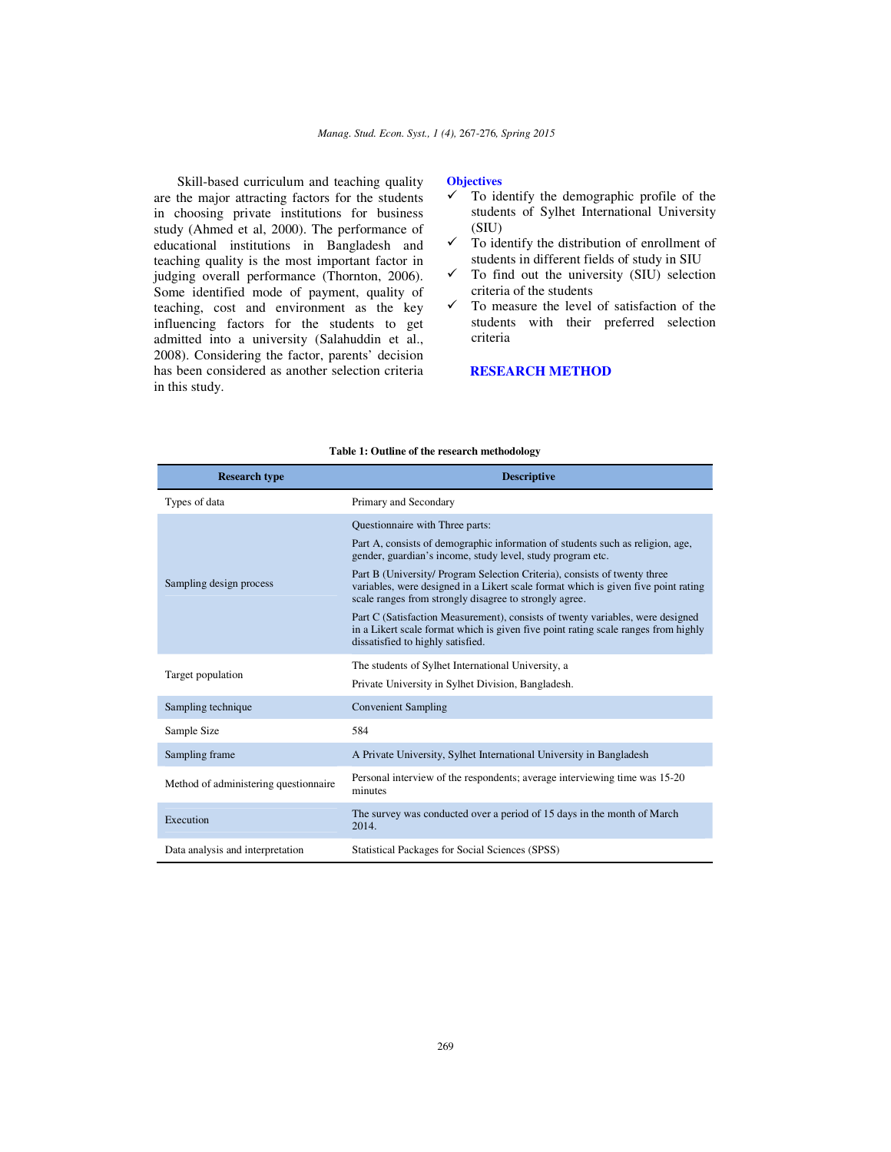Skill-based curriculum and teaching quality are the major attracting factors for the students in choosing private institutions for business study (Ahmed et al, 2000). The performance of educational institutions in Bangladesh and teaching quality is the most important factor in judging overall performance (Thornton, 2006). Some identified mode of payment, quality of teaching, cost and environment as the key influencing factors for the students to get admitted into a university (Salahuddin et al., 2008). Considering the factor, parents' decision has been considered as another selection criteria in this study.

#### **Objectives**

- $\checkmark$  To identify the demographic profile of the students of Sylhet International University (SIU)
- $\checkmark$  To identify the distribution of enrollment of students in different fields of study in SIU
- $\checkmark$  To find out the university (SIU) selection criteria of the students
- $\checkmark$  To measure the level of satisfaction of the students with their preferred selection criteria

## **RESEARCH METHOD**

| <b>Research type</b>                  | <b>Descriptive</b>                                                                                                                                                                                                        |
|---------------------------------------|---------------------------------------------------------------------------------------------------------------------------------------------------------------------------------------------------------------------------|
| Types of data                         | Primary and Secondary                                                                                                                                                                                                     |
|                                       | Questionnaire with Three parts:<br>Part A, consists of demographic information of students such as religion, age,<br>gender, guardian's income, study level, study program etc.                                           |
| Sampling design process               | Part B (University/ Program Selection Criteria), consists of twenty three<br>variables, were designed in a Likert scale format which is given five point rating<br>scale ranges from strongly disagree to strongly agree. |
|                                       | Part C (Satisfaction Measurement), consists of twenty variables, were designed<br>in a Likert scale format which is given five point rating scale ranges from highly<br>dissatisfied to highly satisfied.                 |
| Target population                     | The students of Sylhet International University, a<br>Private University in Sylhet Division, Bangladesh.                                                                                                                  |
| Sampling technique                    | <b>Convenient Sampling</b>                                                                                                                                                                                                |
| Sample Size                           | 584                                                                                                                                                                                                                       |
| Sampling frame                        | A Private University, Sylhet International University in Bangladesh                                                                                                                                                       |
| Method of administering questionnaire | Personal interview of the respondents; average interviewing time was 15-20<br>minutes                                                                                                                                     |
| Execution                             | The survey was conducted over a period of 15 days in the month of March<br>2014.                                                                                                                                          |
| Data analysis and interpretation      | Statistical Packages for Social Sciences (SPSS)                                                                                                                                                                           |

#### **Table 1: Outline of the research methodology**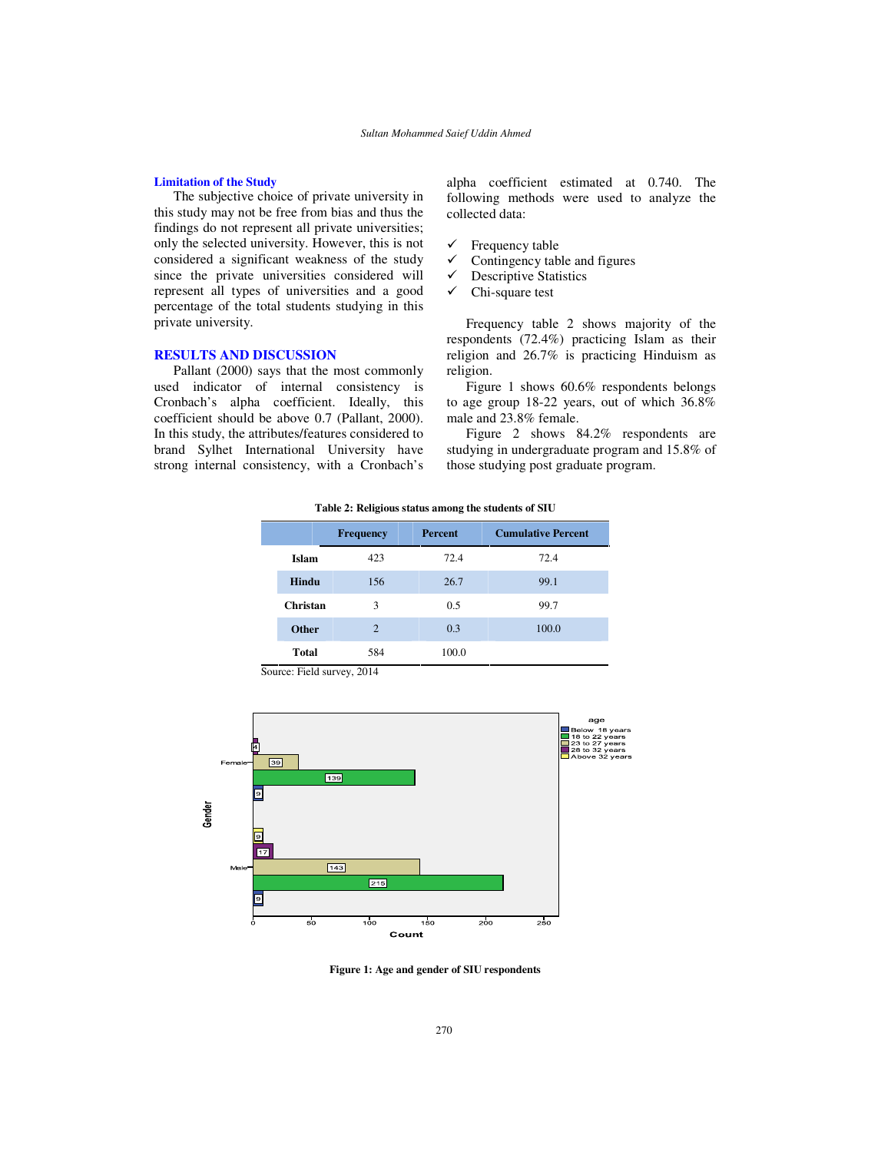## **Limitation of the Study**

The subjective choice of private university in this study may not be free from bias and thus the findings do not represent all private universities; only the selected university. However, this is not considered a significant weakness of the study since the private universities considered will represent all types of universities and a good percentage of the total students studying in this private university.

## **RESULTS AND DISCUSSION**

Pallant (2000) says that the most commonly used indicator of internal consistency is Cronbach's alpha coefficient. Ideally, this coefficient should be above 0.7 (Pallant, 2000). In this study, the attributes/features considered to brand Sylhet International University have strong internal consistency, with a Cronbach's alpha coefficient estimated at 0.740. The following methods were used to analyze the collected data:

- $\checkmark$  Frequency table
- $\checkmark$  Contingency table and figures
- $\checkmark$  Descriptive Statistics
- $\checkmark$  Chi-square test

Frequency table 2 shows majority of the respondents (72.4%) practicing Islam as their religion and 26.7% is practicing Hinduism as religion.

Figure 1 shows 60.6% respondents belongs to age group 18-22 years, out of which 36.8% male and 23.8% female.

Figure 2 shows 84.2% respondents are studying in undergraduate program and 15.8% of those studying post graduate program.

**Table 2: Religious status among the students of SIU**

|              | <b>Frequency</b>           | Percent | <b>Cumulative Percent</b> |
|--------------|----------------------------|---------|---------------------------|
| Islam        | 423                        | 72.4    | 72.4                      |
| Hindu        | 156                        | 26.7    | 99.1                      |
| Christan     | 3                          | 0.5     | 99.7                      |
| <b>Other</b> | $\overline{2}$             | 0.3     | 100.0                     |
| <b>Total</b> | 584                        | 100.0   |                           |
|              | Source: Field survey, 2014 |         |                           |



**Figure 1: Age and gender of SIU respondents**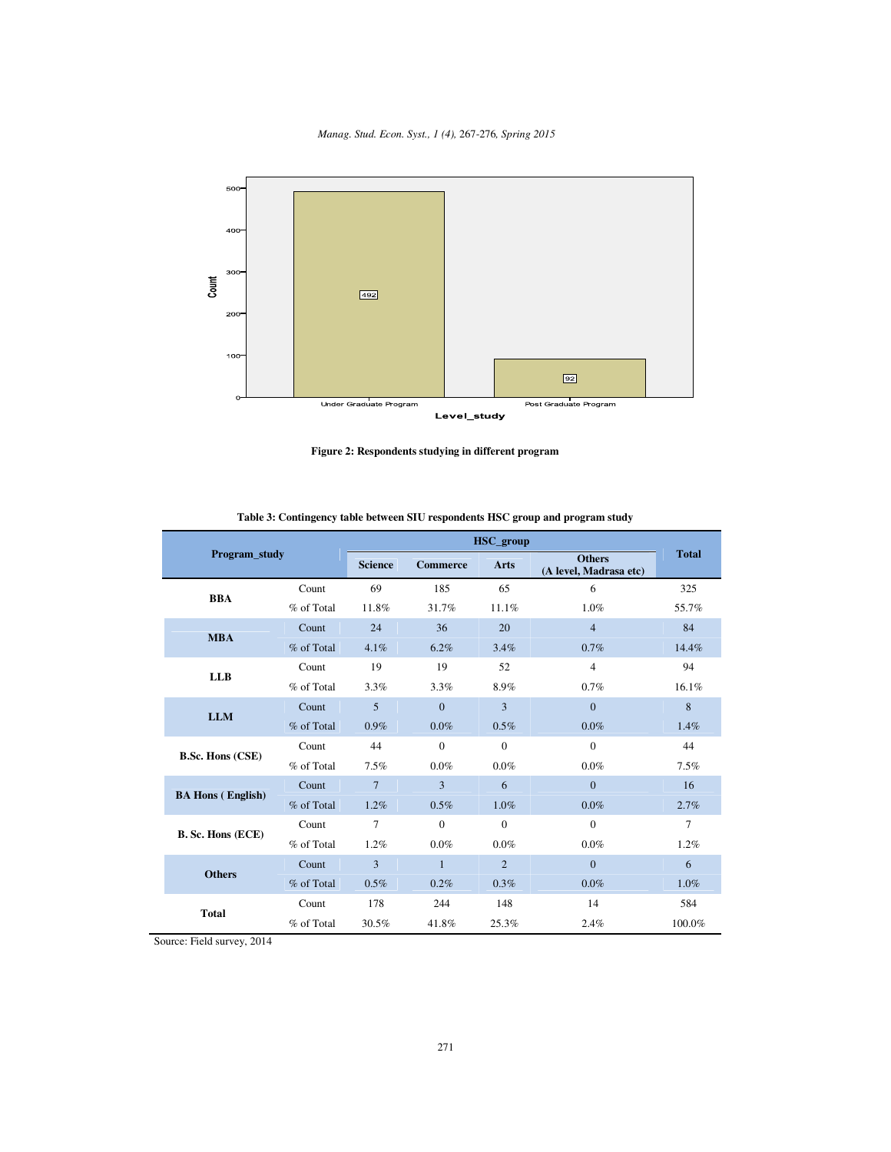#### *Manag. Stud. Econ. Syst., 1 (4),* 267-276*, Spring 2015*



**Figure 2: Respondents studying in different program**

| Program_study            |            | HSC_group      |                 |                |                                         |              |
|--------------------------|------------|----------------|-----------------|----------------|-----------------------------------------|--------------|
|                          |            | <b>Science</b> | <b>Commerce</b> | <b>Arts</b>    | <b>Others</b><br>(A level, Madrasa etc) | <b>Total</b> |
| <b>BBA</b>               | Count      | 69             | 185             | 65             | 6                                       | 325          |
|                          | % of Total | 11.8%          | 31.7%           | 11.1%          | 1.0%                                    | 55.7%        |
| <b>MBA</b>               | Count      | 24             | 36              | 20             | $\overline{4}$                          | 84           |
|                          | % of Total | 4.1%           | 6.2%            | 3.4%           | 0.7%                                    | 14.4%        |
|                          | Count      | 19             | 19              | 52             | $\overline{4}$                          | 94           |
| <b>LLB</b>               | % of Total | 3.3%           | 3.3%            | 8.9%           | 0.7%                                    | 16.1%        |
|                          | Count      | 5              | $\Omega$        | 3              | $\Omega$                                | 8            |
| <b>LLM</b>               | % of Total | $0.9\%$        | $0.0\%$         | $0.5\%$        | $0.0\%$                                 | 1.4%         |
|                          | Count      | 44             | $\mathbf{0}$    | $\mathbf{0}$   | $\Omega$                                | 44           |
| <b>B.Sc. Hons (CSE)</b>  | % of Total | 7.5%           | $0.0\%$         | $0.0\%$        | $0.0\%$                                 | 7.5%         |
|                          | Count      | $\overline{7}$ | 3               | 6              | $\mathbf{0}$                            | 16           |
| <b>BA Hons (English)</b> | % of Total | 1.2%           | 0.5%            | $1.0\%$        | $0.0\%$                                 | 2.7%         |
|                          | Count      | 7              | $\Omega$        | $\Omega$       | $\Omega$                                | $\tau$       |
| B. Sc. Hons (ECE)        | % of Total | 1.2%           | $0.0\%$         | $0.0\%$        | $0.0\%$                                 | 1.2%         |
|                          | Count      | 3              | $\mathbf{1}$    | $\overline{2}$ | $\Omega$                                | 6            |
| <b>Others</b>            | % of Total | 0.5%           | 0.2%            | 0.3%           | $0.0\%$                                 | 1.0%         |
|                          | Count      | 178            | 244             | 148            | 14                                      | 584          |
| <b>Total</b>             | % of Total | 30.5%          | 41.8%           | 25.3%          | 2.4%                                    | 100.0%       |

**Table 3: Contingency table between SIU respondents HSC group and program study** 

Source: Field survey, 2014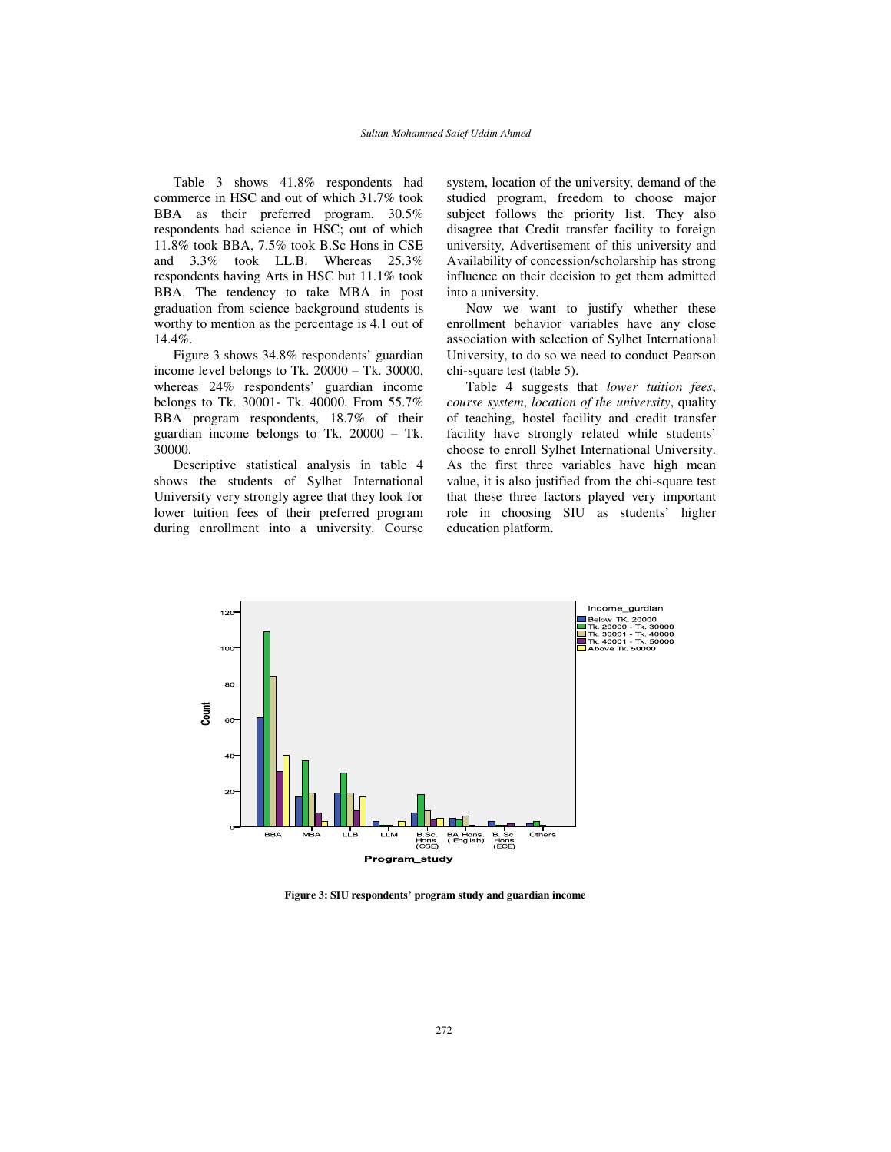Table 3 shows 41.8% respondents had commerce in HSC and out of which 31.7% took BBA as their preferred program. 30.5% respondents had science in HSC; out of which 11.8% took BBA, 7.5% took B.Sc Hons in CSE and 3.3% took LL.B. Whereas 25.3% respondents having Arts in HSC but 11.1% took BBA. The tendency to take MBA in post graduation from science background students is worthy to mention as the percentage is 4.1 out of 14.4%.

Figure 3 shows 34.8% respondents' guardian income level belongs to Tk. 20000 – Tk. 30000, whereas 24% respondents' guardian income belongs to Tk. 30001- Tk. 40000. From 55.7% BBA program respondents, 18.7% of their guardian income belongs to Tk. 20000 – Tk. 30000.

Descriptive statistical analysis in table 4 shows the students of Sylhet International University very strongly agree that they look for lower tuition fees of their preferred program during enrollment into a university. Course system, location of the university, demand of the studied program, freedom to choose major subject follows the priority list. They also disagree that Credit transfer facility to foreign university, Advertisement of this university and Availability of concession/scholarship has strong influence on their decision to get them admitted into a university.

Now we want to justify whether these enrollment behavior variables have any close association with selection of Sylhet International University, to do so we need to conduct Pearson chi-square test (table 5).

Table 4 suggests that *lower tuition fees*, *course system*, *location of the university*, quality of teaching, hostel facility and credit transfer facility have strongly related while students' choose to enroll Sylhet International University. As the first three variables have high mean value, it is also justified from the chi-square test that these three factors played very important role in choosing SIU as students' higher education platform.



**Figure 3: SIU respondents' program study and guardian income**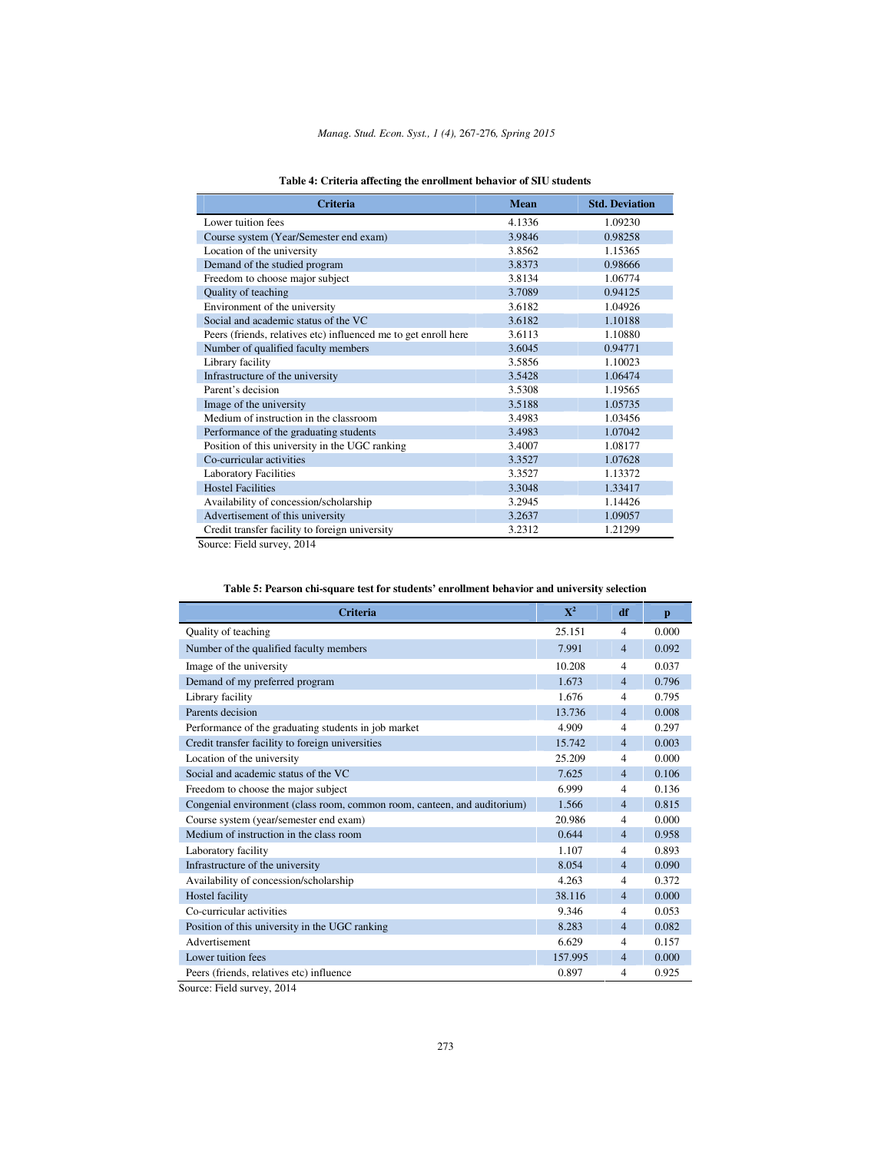|  |  |  |  |  | Table 4: Criteria affecting the enrollment behavior of SIU students |
|--|--|--|--|--|---------------------------------------------------------------------|
|--|--|--|--|--|---------------------------------------------------------------------|

| Criteria                                                        | Mean   | <b>Std. Deviation</b> |
|-----------------------------------------------------------------|--------|-----------------------|
| Lower tuition fees                                              | 4.1336 | 1.09230               |
| Course system (Year/Semester end exam)                          | 3.9846 | 0.98258               |
| Location of the university                                      | 3.8562 | 1.15365               |
| Demand of the studied program                                   | 3.8373 | 0.98666               |
| Freedom to choose major subject                                 | 3.8134 | 1.06774               |
| Quality of teaching                                             | 3.7089 | 0.94125               |
| Environment of the university                                   | 3.6182 | 1.04926               |
| Social and academic status of the VC                            | 3.6182 | 1.10188               |
| Peers (friends, relatives etc) influenced me to get enroll here | 3.6113 | 1.10880               |
| Number of qualified faculty members                             | 3.6045 | 0.94771               |
| Library facility                                                | 3.5856 | 1.10023               |
| Infrastructure of the university                                | 3.5428 | 1.06474               |
| Parent's decision                                               | 3.5308 | 1.19565               |
| Image of the university                                         | 3.5188 | 1.05735               |
| Medium of instruction in the classroom                          | 3.4983 | 1.03456               |
| Performance of the graduating students                          | 3.4983 | 1.07042               |
| Position of this university in the UGC ranking                  | 3.4007 | 1.08177               |
| Co-curricular activities                                        | 3.3527 | 1.07628               |
| <b>Laboratory Facilities</b>                                    | 3.3527 | 1.13372               |
| <b>Hostel Facilities</b>                                        | 3.3048 | 1.33417               |
| Availability of concession/scholarship                          | 3.2945 | 1.14426               |
| Advertisement of this university                                | 3.2637 | 1.09057               |
| Credit transfer facility to foreign university                  | 3.2312 | 1.21299               |

Source: Field survey, 2014

| <b>Criteria</b>                                                          | $\mathbf{X}^2$ | df             | p     |
|--------------------------------------------------------------------------|----------------|----------------|-------|
| Quality of teaching                                                      | 25.151         | $\overline{4}$ | 0.000 |
| Number of the qualified faculty members                                  | 7.991          | $\overline{4}$ | 0.092 |
| Image of the university                                                  | 10.208         | $\overline{4}$ | 0.037 |
| Demand of my preferred program                                           | 1.673          | 4              | 0.796 |
| Library facility                                                         | 1.676          | 4              | 0.795 |
| Parents decision                                                         | 13.736         | 4              | 0.008 |
| Performance of the graduating students in job market                     | 4.909          | 4              | 0.297 |
| Credit transfer facility to foreign universities                         | 15.742         | 4              | 0.003 |
| Location of the university                                               | 25.209         | 4              | 0.000 |
| Social and academic status of the VC                                     | 7.625          | 4              | 0.106 |
| Freedom to choose the major subject                                      | 6.999          | 4              | 0.136 |
| Congenial environment (class room, common room, canteen, and auditorium) | 1.566          | $\overline{4}$ | 0.815 |
| Course system (year/semester end exam)                                   | 20.986         | 4              | 0.000 |
| Medium of instruction in the class room                                  | 0.644          | $\overline{4}$ | 0.958 |
| Laboratory facility                                                      | 1.107          | 4              | 0.893 |
| Infrastructure of the university                                         | 8.054          | $\overline{4}$ | 0.090 |
| Availability of concession/scholarship                                   | 4.263          | 4              | 0.372 |
| Hostel facility                                                          | 38.116         | $\overline{4}$ | 0.000 |
| Co-curricular activities                                                 | 9.346          | 4              | 0.053 |
| Position of this university in the UGC ranking                           | 8.283          | $\overline{4}$ | 0.082 |
| Advertisement                                                            | 6.629          | 4              | 0.157 |
| Lower tuition fees                                                       | 157.995        | $\overline{4}$ | 0.000 |
| Peers (friends, relatives etc) influence                                 | 0.897          | 4              | 0.925 |

## **Table 5: Pearson chi-square test for students' enrollment behavior and university selection**

Source: Field survey, 2014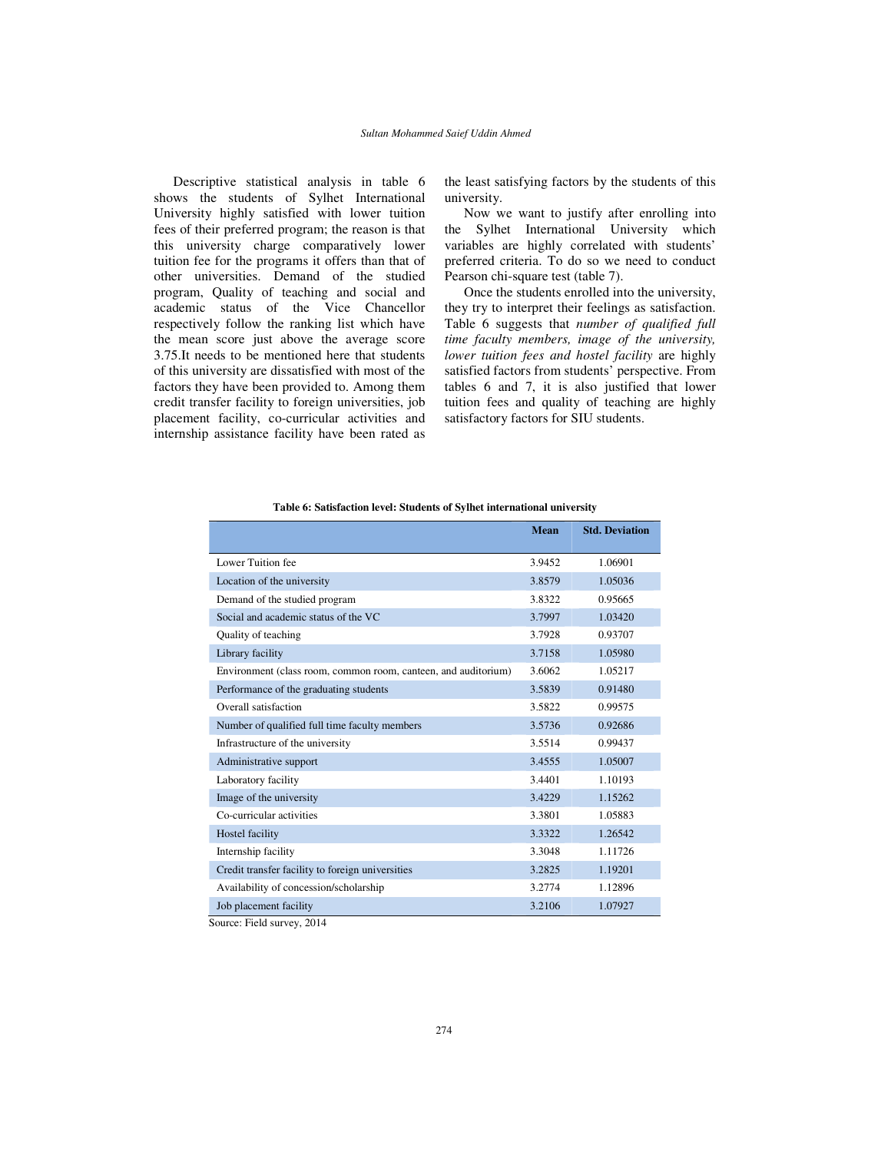Descriptive statistical analysis in table 6 shows the students of Sylhet International University highly satisfied with lower tuition fees of their preferred program; the reason is that this university charge comparatively lower tuition fee for the programs it offers than that of other universities. Demand of the studied program, Quality of teaching and social and academic status of the Vice Chancellor respectively follow the ranking list which have the mean score just above the average score 3.75.It needs to be mentioned here that students of this university are dissatisfied with most of the factors they have been provided to. Among them credit transfer facility to foreign universities, job placement facility, co-curricular activities and internship assistance facility have been rated as

the least satisfying factors by the students of this university.

Now we want to justify after enrolling into the Sylhet International University which variables are highly correlated with students' preferred criteria. To do so we need to conduct Pearson chi-square test (table 7).

Once the students enrolled into the university, they try to interpret their feelings as satisfaction. Table 6 suggests that *number of qualified full time faculty members, image of the university, lower tuition fees and hostel facility* are highly satisfied factors from students' perspective. From tables 6 and 7, it is also justified that lower tuition fees and quality of teaching are highly satisfactory factors for SIU students.

|                                                                | Mean   | <b>Std. Deviation</b> |
|----------------------------------------------------------------|--------|-----------------------|
|                                                                |        |                       |
| Lower Tuition fee                                              | 3.9452 | 1.06901               |
| Location of the university                                     | 3.8579 | 1.05036               |
| Demand of the studied program                                  | 3.8322 | 0.95665               |
| Social and academic status of the VC                           | 3.7997 | 1.03420               |
| Quality of teaching                                            | 3.7928 | 0.93707               |
| Library facility                                               | 3.7158 | 1.05980               |
| Environment (class room, common room, canteen, and auditorium) | 3.6062 | 1.05217               |
| Performance of the graduating students                         | 3.5839 | 0.91480               |
| Overall satisfaction                                           | 3.5822 | 0.99575               |
| Number of qualified full time faculty members                  | 3.5736 | 0.92686               |
| Infrastructure of the university                               | 3.5514 | 0.99437               |
| Administrative support                                         | 3.4555 | 1.05007               |
| Laboratory facility                                            | 3.4401 | 1.10193               |
| Image of the university                                        | 3.4229 | 1.15262               |
| Co-curricular activities                                       | 3.3801 | 1.05883               |
| Hostel facility                                                | 3.3322 | 1.26542               |
| Internship facility                                            | 3.3048 | 1.11726               |
| Credit transfer facility to foreign universities               | 3.2825 | 1.19201               |
| Availability of concession/scholarship                         | 3.2774 | 1.12896               |
| Job placement facility                                         | 3.2106 | 1.07927               |

**Table 6: Satisfaction level: Students of Sylhet international university** 

Source: Field survey, 2014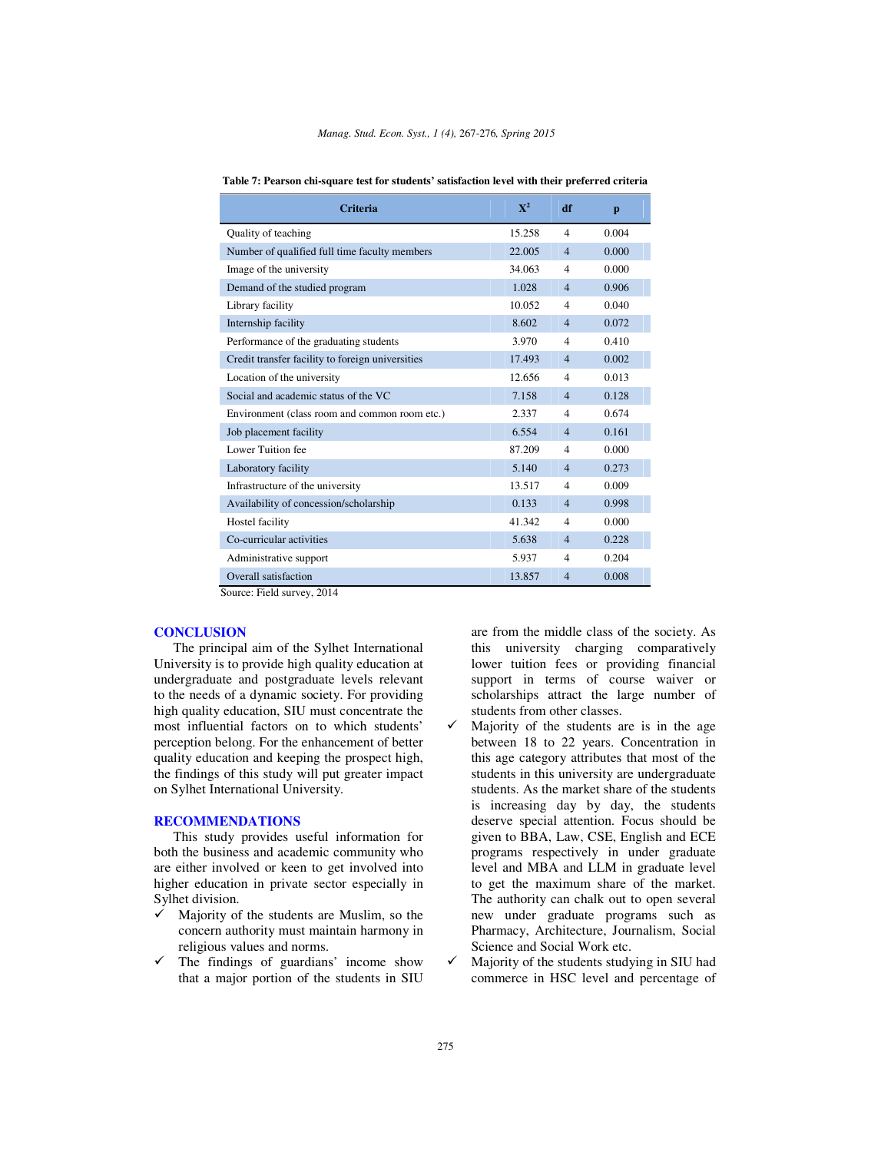| <b>Criteria</b>                                  | $\mathbf{X}^2$ | df             | p     |
|--------------------------------------------------|----------------|----------------|-------|
| Quality of teaching                              | 15.258         | $\overline{4}$ | 0.004 |
| Number of qualified full time faculty members    | 22,005         | $\overline{4}$ | 0.000 |
| Image of the university                          | 34.063         | $\overline{4}$ | 0.000 |
| Demand of the studied program                    | 1.028          | $\overline{4}$ | 0.906 |
| Library facility                                 | 10.052         | $\overline{4}$ | 0.040 |
| Internship facility                              | 8.602          | $\overline{4}$ | 0.072 |
| Performance of the graduating students           | 3.970          | $\overline{4}$ | 0.410 |
| Credit transfer facility to foreign universities | 17.493         | $\overline{4}$ | 0.002 |
| Location of the university                       | 12.656         | $\overline{4}$ | 0.013 |
| Social and academic status of the VC             | 7.158          | $\overline{4}$ | 0.128 |
| Environment (class room and common room etc.)    | 2.337          | $\overline{4}$ | 0.674 |
| Job placement facility                           | 6.554          | $\overline{4}$ | 0.161 |
| Lower Tuition fee                                | 87.209         | $\overline{4}$ | 0.000 |
| Laboratory facility                              | 5.140          | $\overline{4}$ | 0.273 |
| Infrastructure of the university                 | 13.517         | $\overline{4}$ | 0.009 |
| Availability of concession/scholarship           | 0.133          | $\overline{4}$ | 0.998 |
| Hostel facility                                  | 41.342         | $\overline{4}$ | 0.000 |
| Co-curricular activities                         | 5.638          | $\overline{4}$ | 0.228 |
| Administrative support                           | 5.937          | $\overline{4}$ | 0.204 |
| Overall satisfaction                             | 13.857         | $\overline{4}$ | 0.008 |

**Table 7: Pearson chi-square test for students' satisfaction level with their preferred criteria** 

Source: Field survey, 2014

## **CONCLUSION**

The principal aim of the Sylhet International University is to provide high quality education at undergraduate and postgraduate levels relevant to the needs of a dynamic society. For providing high quality education, SIU must concentrate the most influential factors on to which students' perception belong. For the enhancement of better quality education and keeping the prospect high, the findings of this study will put greater impact on Sylhet International University.

#### **RECOMMENDATIONS**

This study provides useful information for both the business and academic community who are either involved or keen to get involved into higher education in private sector especially in Sylhet division.

- Majority of the students are Muslim, so the concern authority must maintain harmony in religious values and norms.
- $\checkmark$  The findings of guardians' income show that a major portion of the students in SIU

are from the middle class of the society. As this university charging comparatively lower tuition fees or providing financial support in terms of course waiver or scholarships attract the large number of students from other classes.

- $\checkmark$  Majority of the students are is in the age between 18 to 22 years. Concentration in this age category attributes that most of the students in this university are undergraduate students. As the market share of the students is increasing day by day, the students deserve special attention. Focus should be given to BBA, Law, CSE, English and ECE programs respectively in under graduate level and MBA and LLM in graduate level to get the maximum share of the market. The authority can chalk out to open several new under graduate programs such as Pharmacy, Architecture, Journalism, Social Science and Social Work etc.
- $\checkmark$  Majority of the students studying in SIU had commerce in HSC level and percentage of